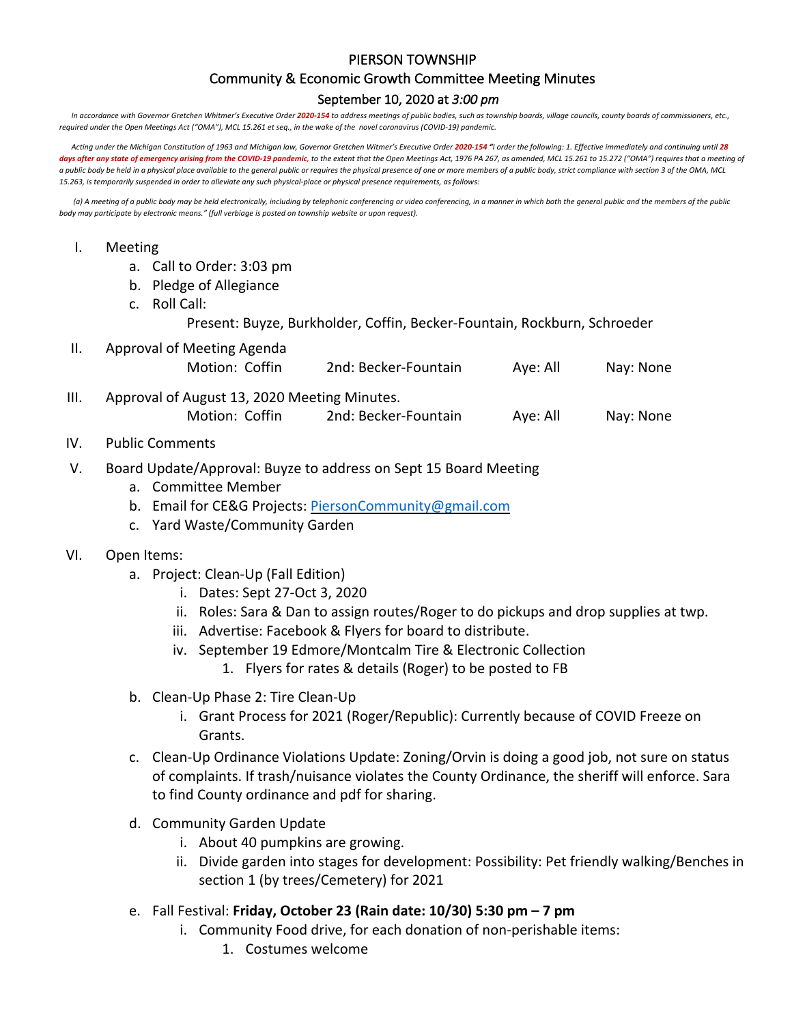## PIERSON TOWNSHIP

## Community & Economic Growth Committee Meeting Minutes

## September 10, 2020 at *3:00 pm*

In accordance with Governor Gretchen Whitmer's Executive Order 2020-154 to address meetings of public bodies, such as township boards, village councils, county boards of commissioners, etc., *required under the Open Meetings Act ("OMA"), MCL 15.261 et seq., in the wake of the novel coronavirus (COVID-19) pandemic.*

*Acting under the Michigan Constitution of 1963 and Michigan law, Governor Gretchen Witmer's Executive Order 2020-154 "I order the following: 1. Effective immediately and continuing until 28*  days after any state of emergency arising from the COVID-19 pandemic, to the extent that the Open Meetings Act, 1976 PA 267, as amended, MCL 15.261 to 15.272 ("OMA") requires that a meeting of *a public body be held in a physical place available to the general public or requires the physical presence of one or more members of a public body, strict compliance with section 3 of the OMA, MCL 15.263, is temporarily suspended in order to alleviate any such physical-place or physical presence requirements, as follows:*

*(a) A meeting of a public body may be held electronically, including by telephonic conferencing or video conferencing, in a manner in which both the general public and the members of the public body may participate by electronic means." (full verbiage is posted on township website or upon request).*

## I. Meeting

- a. Call to Order: 3:03 pm
- b. Pledge of Allegiance
- c. Roll Call:

Present: Buyze, Burkholder, Coffin, Becker-Fountain, Rockburn, Schroeder

II. Approval of Meeting Agenda

| Motion: Coffin | 2nd: Becker-Fountain | Aye: All | Nay: None |
|----------------|----------------------|----------|-----------|
|                |                      |          |           |

- III. Approval of August 13, 2020 Meeting Minutes. Motion: Coffin 2nd: Becker-Fountain Aye: All Nay: None
- IV. Public Comments
- V. Board Update/Approval: Buyze to address on Sept 15 Board Meeting
	- a. Committee Member
	- b. Email for CE&G Projects: PiersonCommunity@gmail.com
	- c. Yard Waste/Community Garden
- VI. Open Items:
	- a. Project: Clean-Up (Fall Edition)
		- i. Dates: Sept 27-Oct 3, 2020
		- ii. Roles: Sara & Dan to assign routes/Roger to do pickups and drop supplies at twp.
		- iii. Advertise: Facebook & Flyers for board to distribute.
		- iv. September 19 Edmore/Montcalm Tire & Electronic Collection
			- 1. Flyers for rates & details (Roger) to be posted to FB
	- b. Clean-Up Phase 2: Tire Clean-Up
		- i. Grant Process for 2021 (Roger/Republic): Currently because of COVID Freeze on Grants.
	- c. Clean-Up Ordinance Violations Update: Zoning/Orvin is doing a good job, not sure on status of complaints. If trash/nuisance violates the County Ordinance, the sheriff will enforce. Sara to find County ordinance and pdf for sharing.
	- d. Community Garden Update
		- i. About 40 pumpkins are growing.
		- ii. Divide garden into stages for development: Possibility: Pet friendly walking/Benches in section 1 (by trees/Cemetery) for 2021
	- e. Fall Festival: **Friday, October 23 (Rain date: 10/30) 5:30 pm – 7 pm**
		- i. Community Food drive, for each donation of non-perishable items:
			- 1. Costumes welcome